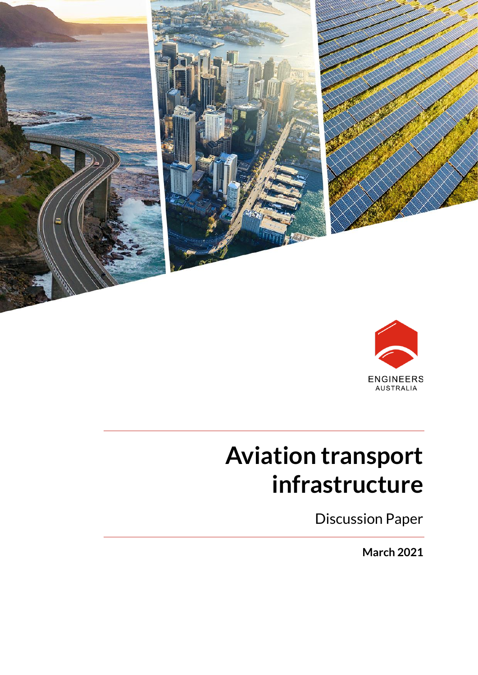



# **Aviation transport infrastructure**

Discussion Paper

**March 2021**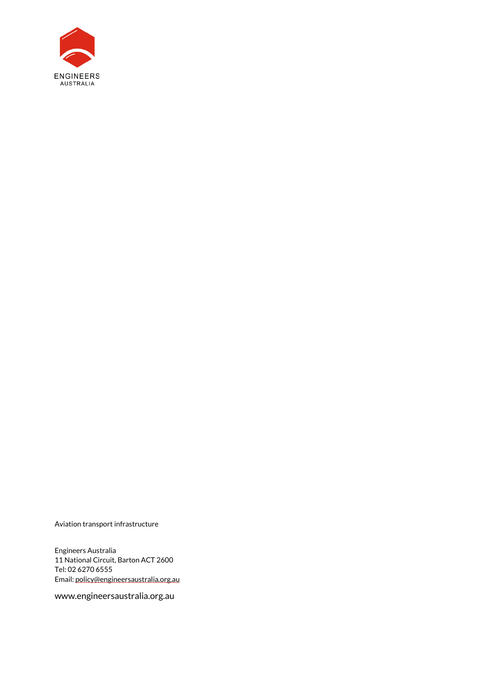

Aviation transport infrastructure

Engineers Australia 11 National Circuit, Barton ACT 2600 Tel: 02 6270 6555 Email[: policy@engineersaustralia.org.au](mailto:policy@engineersaustralia.org.au)

www.engineersaustralia.org.au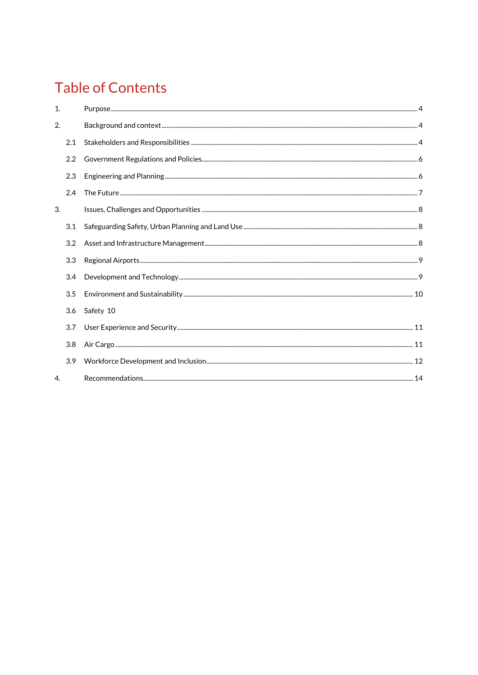# **Table of Contents**

| 1. |     |           |  |
|----|-----|-----------|--|
| 2. |     |           |  |
|    | 2.1 |           |  |
|    | 2.2 |           |  |
|    | 2.3 |           |  |
|    | 2.4 |           |  |
| 3. |     |           |  |
|    | 3.1 |           |  |
|    | 3.2 |           |  |
|    | 3.3 |           |  |
|    | 3.4 |           |  |
|    | 3.5 |           |  |
|    | 3.6 | Safety 10 |  |
|    | 3.7 |           |  |
|    | 3.8 |           |  |
|    | 3.9 |           |  |
| 4. |     |           |  |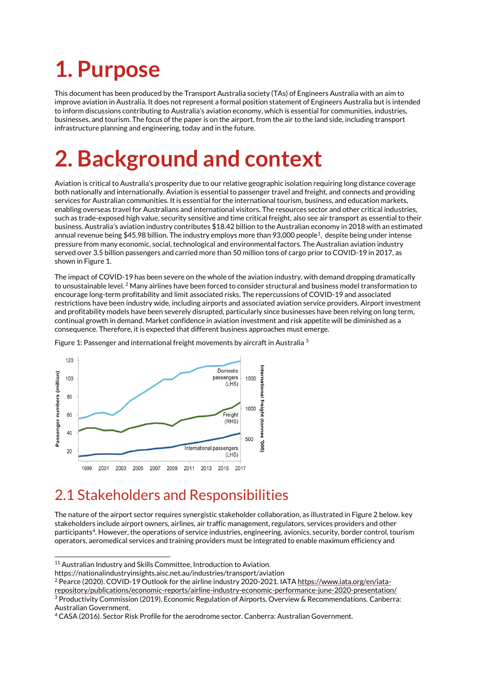# <span id="page-3-0"></span>**1. Purpose**

This document has been produced by the Transport Australia society (TAs) of Engineers Australia with an aim to improve aviation in Australia. It does not represent a formal position statement of Engineers Australia but is intended to inform discussions contributing to Australia's aviation economy, which is essential for communities, industries, businesses, and tourism. The focus of the paper is on the airport, from the air to the land side, including transport infrastructure planning and engineering, today and in the future.

# <span id="page-3-1"></span>**2. Background and context**

Aviation is critical to Australia's prosperity due to our relative geographic isolation requiring long distance coverage both nationally and internationally. Aviation is essential to passenger travel and freight, and connects and providing services for Australian communities. It is essential for the international tourism, business, and education markets, enabling overseas travel for Australians and international visitors. The resources sector and other critical industries, such as trade-exposed high value, security sensitive and time critical freight, also see air transport as essential to their business. Australia's aviation industry contributes \$18.42 billion to the Australian economy in 2018 with an estimated annual revenue being \$45.98 billion. The industry employs more than 93,000 people<sup>1</sup>, despite being under intense pressure from many economic, social, technological and environmental factors. The Australian aviation industry served ove[r 3.5 billion passengers](http://www.icao.int/Newsroom/Pages/Continuing-Traffic-Growth-and-Record-Airline-Profits-Highlight-2015-Air-Transport-Results.aspx) and carried more tha[n 50 million tons of cargo](http://www.ibtimes.com/) prior to COVID-19 in 2017, as shown in Figure 1.

The impact of COVID-19 has been severe on the whole of the aviation industry, with demand dropping dramatically to unsustainable level. <sup>2</sup> Many airlines have been forced to consider structural and business model transformation to encourage long-term profitability and limit associated risks. The repercussions of COVID-19 and associated restrictions have been industry wide, including airports and associated aviation service providers. Airport investment and profitability models have been severely disrupted, particularly since businesses have been relying on long term, continual growth in demand. Market confidence in aviation investment and risk appetite will be diminished as a consequence. Therefore, it is expected that different business approaches must emerge.



Figure 1: Passenger and international freight movements by aircraft in Australia <sup>3</sup>

### <span id="page-3-2"></span>2.1 Stakeholders and Responsibilities

The nature of the airport sector requires synergistic stakeholder collaboration, as illustrated in Figure 2 below. key stakeholders include airport owners, airlines, air traffic management, regulators, services providers and other participants<sup>4</sup>. However, the operations of service industries, engineering, avionics, security, border control, tourism operators, aeromedical services and training providers must be integrated to enable maximum efficiency and

<sup>&</sup>lt;sup>11</sup> Australian Industry and Skills Committee, Introduction to Aviation.

https://nationalindustryinsights.aisc.net.au/industries/transport/aviation

<sup>&</sup>lt;sup>2</sup> Pearce (2020). COVID-19 Outlook for the airline industry 2020-2021. IAT[A https://www.iata.org/en/iata-](https://www.iata.org/en/iata-repository/publications/economic-reports/airline-industry-economic-performance-june-2020-presentation/)

[repository/publications/economic-reports/airline-industry-economic-performance-june-2020-presentation/](https://www.iata.org/en/iata-repository/publications/economic-reports/airline-industry-economic-performance-june-2020-presentation/) <sup>3</sup> Productivity Commission (2019). Economic Regulation of Airports. Overview & Recommendations. Canberra: Australian Government.

<sup>4</sup> CASA (2016). Sector Risk Profile for the aerodrome sector. Canberra: Australian Government.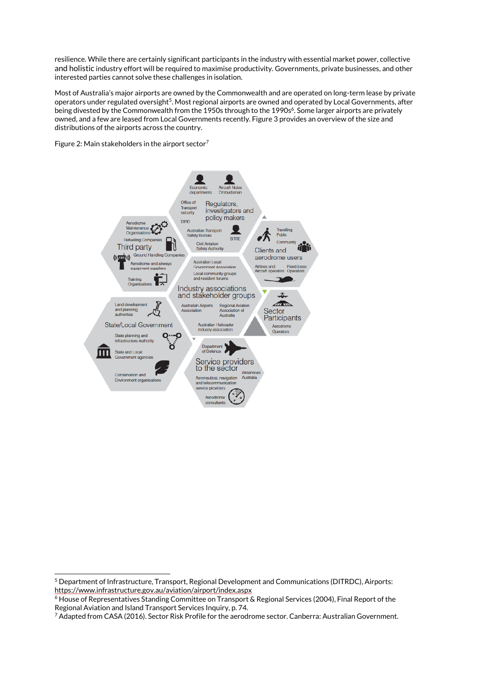resilience. While there are certainly significant participants in the industry with essential market power, collective and holistic industry effort will be required to maximise productivity. Governments, private businesses, and other interested parties cannot solve these challenges in isolation.

Most of Australia's major airports are owned by the Commonwealth and are operated on long-term lease by private operators under regulated oversight $^5$ . Most regional airports are owned and operated by Local Governments, after being divested by the Commonwealth from the 1950s through to the 1990s<sup>6</sup>. Some larger airports are privately owned, and a few are leased from Local Governments recently. Figure 3 provides an overview of the size and distributions of the airports across the country.

Figure 2: Main stakeholders in the airport sector<sup>7</sup>



<sup>5</sup> Department of Infrastructure, Transport, Regional Development and Communications (DITRDC), Airports: <https://www.infrastructure.gov.au/aviation/airport/index.aspx>

<sup>6</sup> House of Representatives Standing Committee on Transport & Regional Services (2004), Final Report of the Regional Aviation and Island Transport Services Inquiry, p. 74.

<sup>7</sup> Adapted from CASA (2016). Sector Risk Profile for the aerodrome sector. Canberra: Australian Government.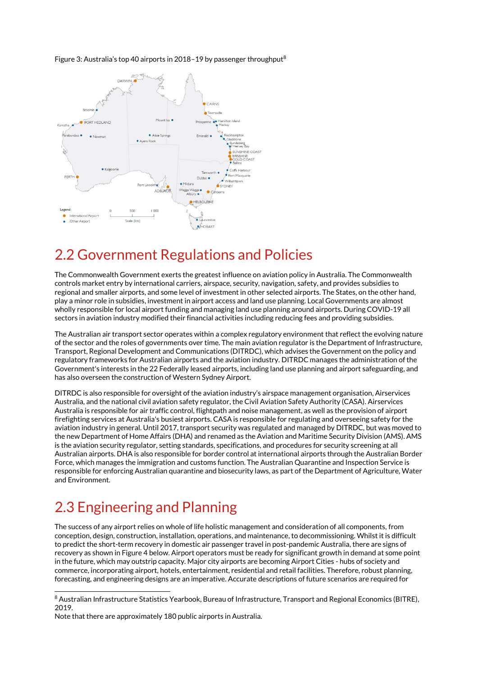#### Figure 3: Australia's top 40 airports in 2018–19 by passenger throughput<sup>8</sup>



#### <span id="page-5-0"></span>2.2 Government Regulations and Policies

The Commonwealth Government exerts the greatest influence on aviation policy in Australia. The Commonwealth controls market entry by international carriers, airspace, security, navigation, safety, and provides subsidies to regional and smaller airports, and some level of investment in other selected airports. The States, on the other hand, play a minor role in subsidies, investment in airport access and land use planning. Local Governments are almost wholly responsible for local airport funding and managing land use planning around airports. During COVID-19 all sectors in aviation industry modified their financial activities including reducing fees and providing subsidies.

The Australian air transport sector operates within a complex regulatory environment that reflect the evolving nature of the sector and the roles of governments over time. The main aviation regulator is the Department of Infrastructure, Transport, Regional Development and Communications (DITRDC), which advises the Government on the policy and regulatory frameworks for Australian airports and the aviation industry. DITRDC manages the administration of the Government's interests in the 22 Federally leased airports, including land use planning and airport safeguarding, and has also overseen the construction of Western Sydney Airport.

DITRDC is also responsible for oversight of the aviation industry's airspace management organisation, Airservices Australia, and the national civil aviation safety regulator, the Civil Aviation Safety Authority (CASA). Airservices Australia is responsible for air traffic control, flightpath and noise management, as well as the provision of airport firefighting services at Australia's busiest airports. CASA is responsible for regulating and overseeing safety for the aviation industry in general. Until 2017, transport security was regulated and managed by DITRDC, but was moved to the new Department of Home Affairs (DHA) and renamed as the Aviation and Maritime Security Division (AMS). AMS is the aviation security regulator, setting standards, specifications, and procedures for security screening at all Australian airports. DHA is also responsible for border control at international airports through the Australian Border Force, which manages the immigration and customs function. The Australian Quarantine and Inspection Service is responsible for enforcing Australian quarantine and biosecurity laws, as part of the Department of Agriculture, Water and Environment.

### <span id="page-5-1"></span>2.3 Engineering and Planning

The success of any airport relies on whole of life holistic management and consideration of all components, from conception, design, construction, installation, operations, and maintenance, to decommissioning. Whilst it is difficult to predict the short-term recovery in domestic air passenger travel in post-pandemic Australia, there are signs of recovery as shown in Figure 4 below. Airport operators must be ready for significant growth in demand at some point in the future, which may outstrip capacity. Major city airports are becoming Airport Cities - hubs of society and commerce, incorporating airport, hotels, entertainment, residential and retail facilities. Therefore, robust planning, forecasting, and engineering designs are an imperative. Accurate descriptions of future scenarios are required for

<sup>8</sup> Australian Infrastructure Statistics Yearbook, Bureau of Infrastructure, Transport and Regional Economics (BITRE), 2019.

Note that there are approximately 180 public airports in Australia.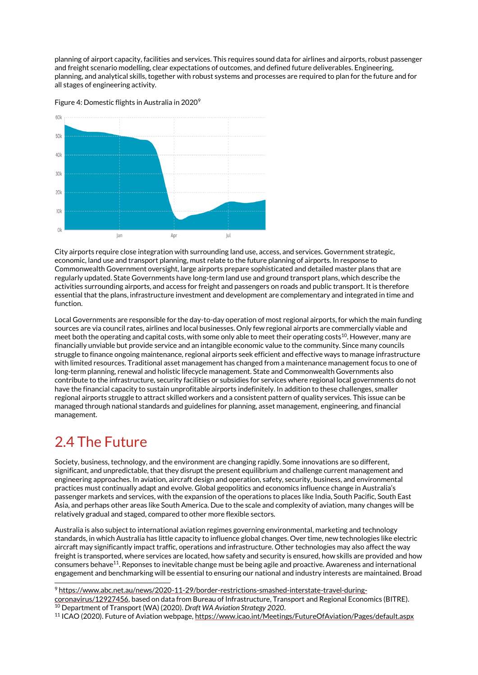planning of airport capacity, facilities and services. This requires sound data for airlines and airports, robust passenger and freight scenario modelling, clear expectations of outcomes, and defined future deliverables. Engineering, planning, and analytical skills, together with robust systems and processes are required to plan for the future and for all stages of engineering activity.



Figure 4: Domestic flights in Australia in 2020<sup>9</sup>

City airports require close integration with surrounding land use, access, and services. Government strategic, economic, land use and transport planning, must relate to the future planning of airports. In response to Commonwealth Government oversight, large airports prepare sophisticated and detailed master plans that are regularly updated. State Governments have long-term land use and ground transport plans, which describe the activities surrounding airports, and access for freight and passengers on roads and public transport. It is therefore essential that the plans, infrastructure investment and development are complementary and integrated in time and function.

Local Governments are responsible for the day-to-day operation of most regional airports, for which the main funding sources are via council rates, airlines and local businesses. Only few regional airports are commercially viable and meet both the operating and capital costs, with some only able to meet their operating costs<sup>10</sup>. However, many are financially unviable but provide service and an intangible economic value to the community. Since many councils struggle to finance ongoing maintenance, regional airports seek efficient and effective ways to manage infrastructure with limited resources. Traditional asset management has changed from a maintenance management focus to one of long-term planning, renewal and holistic lifecycle management. State and Commonwealth Governments also contribute to the infrastructure, security facilities or subsidies for services where regional local governments do not have the financial capacity to sustain unprofitable airports indefinitely. In addition to these challenges, smaller regional airports struggle to attract skilled workers and a consistent pattern of quality services. This issue can be managed through national standards and guidelines for planning, asset management, engineering, and financial management.

#### <span id="page-6-0"></span>2.4 The Future

Society, business, technology, and the environment are changing rapidly. Some innovations are so different, significant, and unpredictable, that they disrupt the present equilibrium and challenge current management and engineering approaches. In aviation, aircraft design and operation, safety, security, business, and environmental practices must continually adapt and evolve. Global geopolitics and economics influence change in Australia's passenger markets and services, with the expansion of the operations to places like India, South Pacific, South East Asia, and perhaps other areas like South America. Due to the scale and complexity of aviation, many changes will be relatively gradual and staged, compared to other more flexible sectors.

Australia is also subject to international aviation regimes governing environmental, marketing and technology standards, in which Australia has little capacity to influence global changes. Over time, new technologies like electric aircraft may significantly impact traffic, operations and infrastructure. Other technologies may also affect the way freight is transported, where services are located, how safety and security is ensured, how skills are provided and how consumers behave $^{11}$ . Reponses to inevitable change must be being agile and proactive. Awareness and international engagement and benchmarking will be essential to ensuring our national and industry interests are maintained. Broad

<sup>9</sup> [https://www.abc.net.au/news/2020-11-29/border-restrictions-smashed-interstate-travel-during](https://www.abc.net.au/news/2020-11-29/border-restrictions-smashed-interstate-travel-during-coronavirus/12927456)[coronavirus/12927456,](https://www.abc.net.au/news/2020-11-29/border-restrictions-smashed-interstate-travel-during-coronavirus/12927456) based on data from Bureau of Infrastructure, Transport and Regional Economics (BITRE). <sup>10</sup> Department of Transport (WA) (2020). *Draft WA Aviation Strategy 2020*.

<sup>11</sup> ICAO (2020). Future of Aviation webpage[, https://www.icao.int/Meetings/FutureOfAviation/Pages/default.aspx](https://www.icao.int/Meetings/FutureOfAviation/Pages/default.aspx)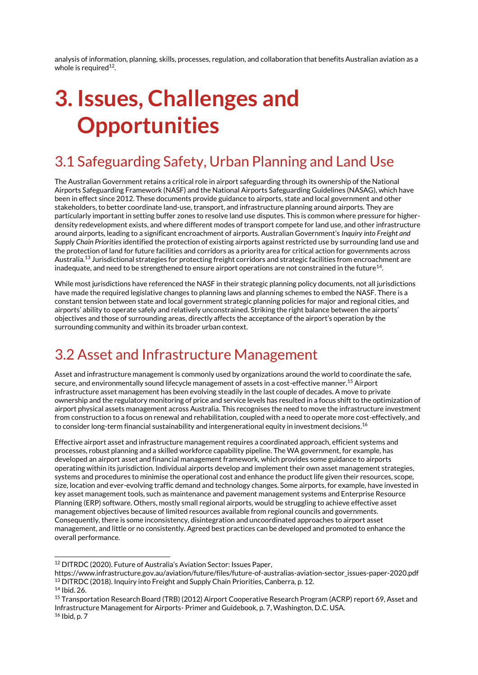analysis of information, planning, skills, processes, regulation, and collaboration that benefits Australian aviation as a whole is required $^{12}$ .

# <span id="page-7-0"></span>**3. Issues, Challenges and Opportunities**

### <span id="page-7-1"></span>3.1 Safeguarding Safety, Urban Planning and Land Use

The Australian Government retains a critical role in airport safeguarding through its ownership of the National Airports Safeguarding Framework (NASF) and the National Airports Safeguarding Guidelines (NASAG), which have been in effect since 2012. These documents provide guidance to airports, state and local government and other stakeholders, to better coordinate land-use, transport, and infrastructure planning around airports. They are particularly important in setting buffer zones to resolve land use disputes. This is common where pressure for higherdensity redevelopment exists, and where different modes of transport compete for land use, and other infrastructure around airports, leading to a significant encroachment of airports. Australian Government's *Inquiry into Freight and Supply Chain Priorities* identified the protection of existing airports against restricted use by surrounding land use and the protection of land for future facilities and corridors as a priority area for critical action for governments across Australia. <sup>13</sup> Jurisdictional strategies for protecting freight corridors and strategic facilities from encroachment are inadequate, and need to be strengthened to ensure airport operations are not constrained in the future $^{14}$ .

While most jurisdictions have referenced the NASF in their strategic planning policy documents, not all jurisdictions have made the required legislative changes to planning laws and planning schemes to embed the NASF. There is a constant tension between state and local government strategic planning policies for major and regional cities, and airports' ability to operate safely and relatively unconstrained. Striking the right balance between the airports' objectives and those of surrounding areas, directly affects the acceptance of the airport's operation by the surrounding community and within its broader urban context.

#### <span id="page-7-2"></span>3.2 Asset and Infrastructure Management

Asset and infrastructure management is commonly used by organizations around the world to coordinate the safe, secure, and environmentally sound lifecycle management of assets in a cost-effective manner. <sup>15</sup> Airport infrastructure asset management has been evolving steadily in the last couple of decades. A move to private ownership and the regulatory monitoring of price and service levels has resulted in a focus shift to the optimization of airport physical assets management across Australia. This recognises the need to move the infrastructure investment from construction to a focus on renewal and rehabilitation, coupled with a need to operate more cost-effectively, and to consider long-term financial sustainability and intergenerational equity in investment decisions. $^{16}$ 

Effective airport asset and infrastructure management requires a coordinated approach, efficient systems and processes, robust planning and a skilled workforce capability pipeline. The WA government, for example, has developed an airport asset and financial management framework, which provides some guidance to airports operating within its jurisdiction. Individual airports develop and implement their own asset management strategies, systems and procedures to minimise the operational cost and enhance the product life given their resources, scope, size, location and ever-evolving traffic demand and technology changes. Some airports, for example, have invested in key asset management tools, such as maintenance and pavement management systems and Enterprise Resource Planning (ERP) software. Others, mostly small regional airports, would be struggling to achieve effective asset management objectives because of limited resources available from regional councils and governments. Consequently, there is some inconsistency, disintegration and uncoordinated approaches to airport asset management, and little or no consistently. Agreed best practices can be developed and promoted to enhance the overall performance.

<sup>12</sup> DITRDC (2020). Future of Australia's Aviation Sector: Issues Paper,

https://www.infrastructure.gov.au/aviation/future/files/future-of-australias-aviation-sector\_issues-paper-2020.pdf <sup>13</sup> DITRDC (2018). Inquiry into Freight and Supply Chain Priorities, Canberra, p. 12.

<sup>14</sup> Ibid. 26.

<sup>15</sup> Transportation Research Board (TRB) (2012) Airport Cooperative Research Program (ACRP) report 69, Asset and Infrastructure Management for Airports- Primer and Guidebook, p. 7, Washington, D.C. USA. <sup>16</sup> Ibid, p. 7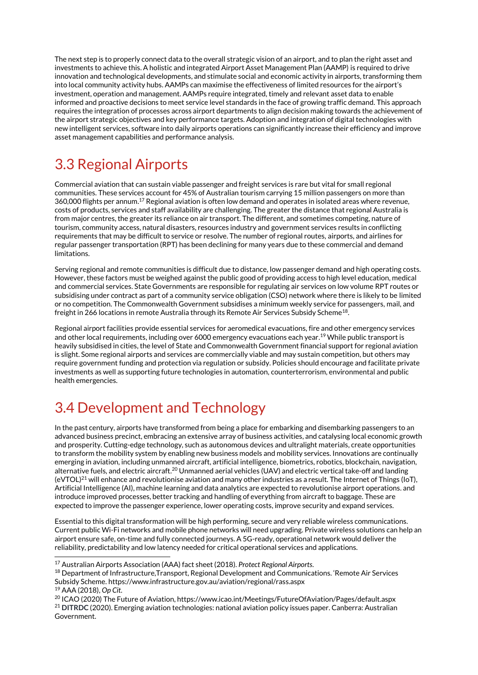The next step is to properly connect data to the overall strategic vision of an airport, and to plan the right asset and investments to achieve this. A holistic and integrated Airport Asset Management Plan (AAMP) is required to drive innovation and technological developments, and stimulate social and economic activity in airports, transforming them into local community activity hubs. AAMPs can maximise the effectiveness of limited resources for the airport's investment, operation and management. AAMPs require integrated, timely and relevant asset data to enable informed and proactive decisions to meet service level standards in the face of growing traffic demand. This approach requires the integration of processes across airport departments to align decision making towards the achievement of the airport strategic objectives and key performance targets. Adoption and integration of digital technologies with new intelligent services, software into daily airports operations can significantly increase their efficiency and improve asset management capabilities and performance analysis.

# <span id="page-8-0"></span>3.3 Regional Airports

Commercial aviation that can sustain viable passenger and freight services is rare but vital for small regional communities. These services account for 45% of Australian tourism carrying 15 million passengers on more than 360,000 flights per annum. <sup>17</sup> Regional aviation is often low demand and operates in isolated areas where revenue, costs of products, services and staff availability are challenging. The greater the distance that regional Australia is from major centres, the greater its reliance on air transport. The different, and sometimes competing, nature of tourism, community access, natural disasters, resources industry and government services results in conflicting requirements that may be difficult to service or resolve. The number of regional routes, airports, and airlines for regular passenger transportation (RPT) has been declining for many years due to these commercial and demand limitations.

Serving regional and remote communities is difficult due to distance, low passenger demand and high operating costs. However, these factors must be weighed against the public good of providing access to high level education, medical and commercial services. State Governments are responsible for regulating air services on low volume RPT routes or subsidising under contract as part of a community service obligation (CSO) network where there is likely to be limited or no competition. The Commonwealth Government subsidises a minimum weekly service for passengers, mail, and freight in 266 locations in remote Australia through its Remote Air Services Subsidy Scheme $^{\rm 18}$ .

Regional airport facilities provide essential services for aeromedical evacuations, fire and other emergency services and other local requirements, including over 6000 emergency evacuations each year. <sup>19</sup> While public transport is heavily subsidised in cities, the level of State and Commonwealth Government financial support for regional aviation is slight. Some regional airports and services are commercially viable and may sustain competition, but others may require government funding and protection via regulation or subsidy. Policies should encourage and facilitate private investments as well as supporting future technologies in automation, counterterrorism, environmental and public health emergencies.

# <span id="page-8-1"></span>3.4 Development and Technology

In the past century, airports have transformed from being a place for embarking and disembarking passengers to an advanced business precinct, embracing an extensive array of business activities, and catalysing local economic growth and prosperity. Cutting-edge technology, such as autonomous devices and ultralight materials, create opportunities to transform the mobility system by enabling new business models and mobility services. Innovations are continually emerging in aviation, including unmanned aircraft, artificial intelligence, biometrics, robotics, blockchain, navigation, alternative fuels, and electric aircraft.<sup>20</sup> Unmanned aerial vehicles (UAV) and electric vertical take-off and landing  $(eVTOL)^{21}$  will enhance and revolutionise aviation and many other industries as a result. The Internet of Things (IoT), Artificial Intelligence (AI), machine learning and data analytics are expected to revolutionise airport operations. and introduce improved processes, better tracking and handling of everything from aircraft to baggage. These are expected to improve the passenger experience, lower operating costs, improve security and expand services.

Essential to this digital transformation will be high performing, secure and very reliable wireless communications. Current public Wi-Fi networks and mobile phone networks will need upgrading. Private wireless solutions can help an airport ensure safe, on-time and fully connected journeys. A 5G-ready, operational network would deliver the reliability, predictability and low latency needed for critical operational services and applications.

```
19 AAA (2018), Op Cit.
```
<sup>17</sup> Australian Airports Association (AAA) fact sheet (2018). *Protect Regional Airports*.

<sup>18</sup> Department of Infrastructure,Transport, Regional Development and Communications. 'Remote Air Services Subsidy Scheme. https://www.infrastructure.gov.au/aviation/regional/rass.aspx

<sup>&</sup>lt;sup>20</sup> ICAO (2020) The Future of Aviation, https://www.icao.int/Meetings/FutureOfAviation/Pages/default.aspx <sup>21</sup> **DITRDC** (2020). Emerging aviation technologies: national aviation policy issues paper. Canberra: Australian Government.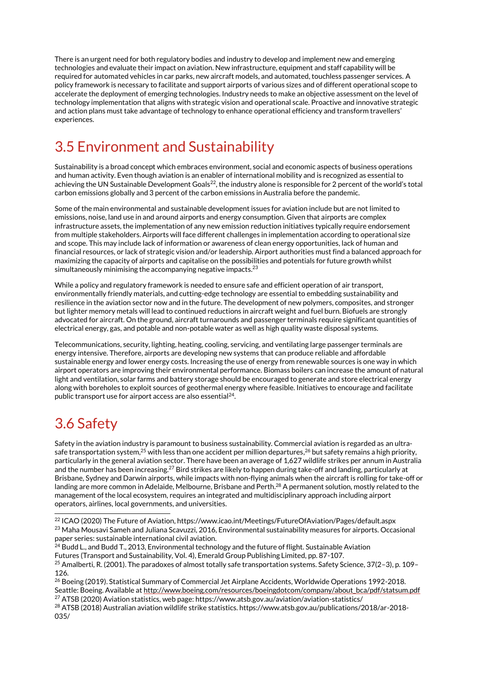There is an urgent need for both regulatory bodies and industry to develop and implement new and emerging technologies and evaluate their impact on aviation. New infrastructure, equipment and staff capability will be required for automated vehicles in car parks, new aircraft models, and automated, touchless passenger services. A policy framework is necessary to facilitate and support airports of various sizes and of different operational scope to accelerate the deployment of emerging technologies. Industry needs to make an objective assessment on the level of technology implementation that aligns with strategic vision and operational scale. Proactive and innovative strategic and action plans must take advantage of technology to enhance operational efficiency and transform travellers' experiences.

### <span id="page-9-0"></span>3.5 Environment and Sustainability

Sustainability is a broad concept which embraces environment, social and economic aspects of business operations and human activity. Even though aviation is an enabler of international mobility and is recognized as essential to achieving the UN Sustainable Development Goals<sup>22</sup>, the industry alone is responsible for 2 percent of the world's total carbon emissions globally and 3 percent of the carbon emissions in Australia before the pandemic.

Some of the main environmental and sustainable development issues for aviation include but are not limited to emissions, noise, land use in and around airports and energy consumption. Given that airports are complex infrastructure assets, the implementation of any new emission reduction initiatives typically require endorsement from multiple stakeholders. Airports will face different challenges in implementation according to operational size and scope. This may include lack of information or awareness of clean energy opportunities, lack of human and financial resources, or lack of strategic vision and/or leadership. Airport authorities must find a balanced approach for maximizing the capacity of airports and capitalise on the possibilities and potentials for future growth whilst simultaneously minimising the accompanying negative impacts. $^{23}$ 

While a policy and regulatory framework is needed to ensure safe and efficient operation of air transport, environmentally friendly materials, and cutting-edge technology are essential to embedding sustainability and resilience in the aviation sector now and in the future. The development of new polymers, composites, and stronger but lighter memory metals will lead to continued reductions in aircraft weight and fuel burn. Biofuels are strongly advocated for aircraft. On the ground, aircraft turnarounds and passenger terminals require significant quantities of electrical energy, gas, and potable and non-potable water as well as high quality waste disposal systems.

Telecommunications, security, lighting, heating, cooling, servicing, and ventilating large passenger terminals are energy intensive. Therefore, airports are developing new systems that can produce reliable and affordable sustainable energy and lower energy costs. Increasing the use of energy from renewable sources is one way in which airport operators are improving their environmental performance. Biomass boilers can increase the amount of natural light and ventilation, solar farms and battery storage should be encouraged to generate and store electrical energy along with boreholes to exploit sources of geothermal energy where feasible. Initiatives to encourage and facilitate public transport use for airport access are also essential<sup>24</sup>.

# <span id="page-9-1"></span>3.6 Safety

Safety in the aviation industry is paramount to business sustainability. Commercial aviation is regarded as an ultrasafe transportation system, $^{25}$  with less than one accident per million departures, $^{26}$  but safety remains a high priority, particularly in the general aviation sector. There have been an average of 1,627 wildlife strikes per annum in Australia and the number has been increasing.<sup>27</sup> Bird strikes are likely to happen during take-off and landing, particularly at Brisbane, Sydney and Darwin airports, while impacts with non-flying animals when the aircraft is rolling for take-off or landing are more common in Adelaide, Melbourne, Brisbane and Perth.<sup>28</sup> A permanent solution, mostly related to the management of the local ecosystem, requires an integrated and multidisciplinary approach including airport operators, airlines, local governments, and universities.

<sup>28</sup> ATSB (2018) Australian aviation wildlife strike statistics. https://www.atsb.gov.au/publications/2018/ar-2018- 035/

<sup>&</sup>lt;sup>22</sup> ICAO (2020) The Future of Aviation, https://www.icao.int/Meetings/FutureOfAviation/Pages/default.aspx <sup>23</sup> Maha Mousavi Sameh and Juliana Scavuzzi, 2016, Environmental sustainability measures for airports. Occasional

paper series: sustainable international civil aviation. <sup>24</sup> Budd L., and Budd T., 2013, Environmental technology and the future of flight. Sustainable Aviation

Futures (Transport and Sustainability, Vol. 4), Emerald Group Publishing Limited, pp. 87-107.

<sup>25</sup> Amalberti, R. (2001). The paradoxes of almost totally safe transportation systems. Safety Science, 37(2–3), p. 109– 126.

<sup>26</sup> Boeing (2019). Statistical Summary of Commercial Jet Airplane Accidents, Worldwide Operations 1992-2018. Seattle: Boeing. Available a[t http://www.boeing.com/resources/boeingdotcom/company/about\\_bca/pdf/statsum.pdf](http://www.boeing.com/resources/boeingdotcom/company/about_bca/pdf/statsum.pdf) <sup>27</sup> ATSB (2020) Aviation statistics, web page: https://www.atsb.gov.au/aviation/aviation-statistics/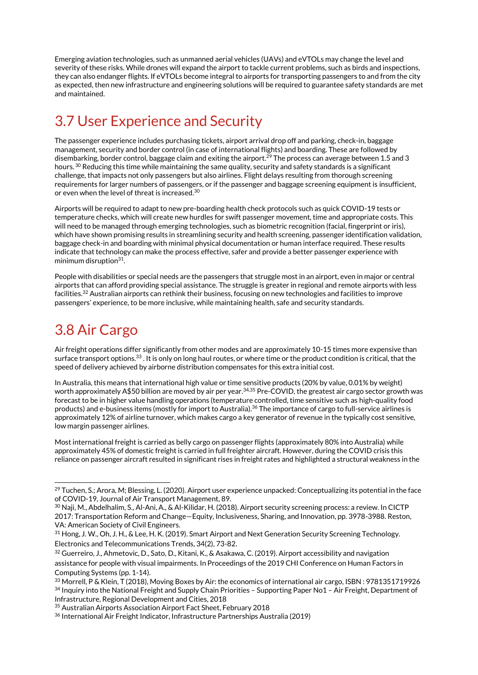Emerging aviation technologies, such as unmanned aerial vehicles (UAVs) and eVTOLs may change the level and severity of these risks. While drones will expand the airport to tackle current problems, such as birds and inspections, they can also endanger flights. If eVTOLs become integral to airports for transporting passengers to and from the city as expected, then new infrastructure and engineering solutions will be required to guarantee safety standards are met and maintained.

# <span id="page-10-0"></span>3.7 User Experience and Security

The passenger experience includes purchasing tickets, airport arrival drop off and parking, check-in, baggage management, security and border control (in case of international flights) and boarding. These are followed by disembarking, border control, baggage claim and exiting the airport.<sup>29</sup> The process can average between 1.5 and 3 hours. <sup>30</sup> Reducing this time while maintaining the same quality, security and safety standards is a significant challenge, that impacts not only passengers but also airlines. Flight delays resulting from thorough screening requirements for larger numbers of passengers, or if the passenger and baggage screening equipment is insufficient, or even when the level of threat is increased. $^{\rm 30}$ 

Airports will be required to adapt to new pre-boarding health check protocols such as quick COVID-19 tests or temperature checks, which will create new hurdles for swift passenger movement, time and appropriate costs. This will need to be managed through emerging technologies, such as biometric recognition (facial, fingerprint or iris), which have shown promising results in streamlining security and health screening, passenger identification validation, baggage check-in and boarding with minimal physical documentation or human interface required. These results indicate that technology can make the process effective, safer and provide a better passenger experience with minimum disruption<sup>31</sup>.

People with disabilities or special needs are the passengers that struggle most in an airport, even in major or central airports that can afford providing special assistance. The struggle is greater in regional and remote airports with less facilities. <sup>32</sup> Australian airports can rethink their business, focusing on new technologies and facilities to improve passengers' experience, to be more inclusive, while maintaining health, safe and security standards.

### <span id="page-10-1"></span>3.8 Air Cargo

Air freight operations differ significantly from other modes and are approximately 10-15 times more expensive than surface transport options.<sup>33</sup>. It is only on long haul routes, or where time or the product condition is critical, that the speed of delivery achieved by airborne distribution compensates for this extra initial cost.

In Australia, this means that international high value or time sensitive products (20% by value, 0.01% by weight) worth approximately A\$50 billion are moved by air per year. $^{34,35}$  Pre-COVID, the greatest air cargo sector growth was forecast to be in higher value handling operations (temperature controlled, time sensitive such as high-quality food products) and e-business items (mostly for import to Australia). <sup>36</sup> The importance of cargo to full-service airlines is approximately 12% of airline turnover, which makes cargo a key generator of revenue in the typically cost sensitive, low margin passenger airlines.

Most international freight is carried as belly cargo on passenger flights (approximately 80% into Australia) while approximately 45% of domestic freight is carried in full freighter aircraft. However, during the COVID crisis this reliance on passenger aircraft resulted in significant rises in freight rates and highlighted a structural weakness in the

<sup>&</sup>lt;sup>29</sup> Tuchen, S.; Arora, M; Blessing, L. (2020). Airport user experience unpacked: Conceptualizing its potential in the face of COVID-19, Journal of Air Transport Management, 89.

<sup>30</sup> Naji, M., Abdelhalim, S., Al-Ani, A., & Al-Kilidar, H. (2018). Airport security screening process: a review. In CICTP 2017: Transportation Reform and Change—Equity, Inclusiveness, Sharing, and Innovation, pp. 3978-3988. Reston, VA: American Society of Civil Engineers.

<sup>31</sup> Hong, J. W., Oh, J. H., & Lee, H. K. (2019). Smart Airport and Next Generation Security Screening Technology. Electronics and Telecommunications Trends, 34(2), 73-82.

<sup>32</sup> Guerreiro, J., Ahmetovic, D., Sato, D., Kitani, K., & Asakawa, C. (2019). Airport accessibility and navigation assistance for people with visual impairments. In Proceedings of the 2019 CHI Conference on Human Factors in Computing Systems (pp. 1-14).

<sup>33</sup> Morrell, P & Klein, T (2018), Moving Boxes by Air: the economics of international air cargo, ISBN : 9781351719926 34 Inquiry into the National Freight and Supply Chain Priorities - Supporting Paper No1 - Air Freight, Department of Infrastructure, Regional Development and Cities, 2018

<sup>35</sup> Australian Airports Association Airport Fact Sheet, February 2018

<sup>36</sup> International Air Freight Indicator, Infrastructure Partnerships Australia (2019)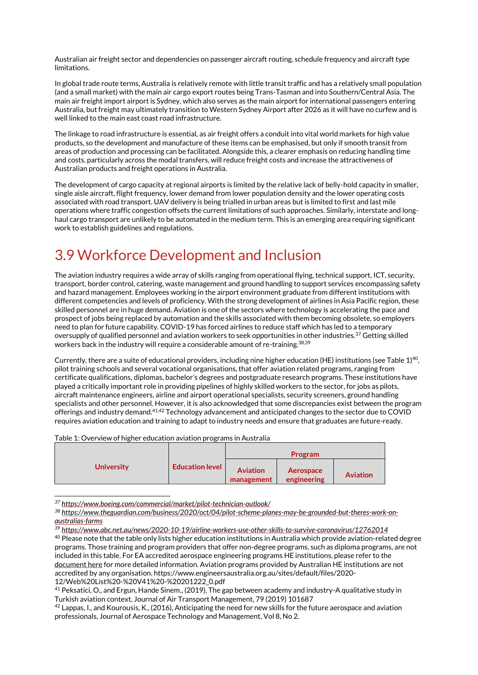Australian air freight sector and dependencies on passenger aircraft routing, schedule frequency and aircraft type limitations.

In global trade route terms, Australia is relatively remote with little transit traffic and has a relatively small population (and a small market) with the main air cargo export routes being Trans-Tasman and into Southern/Central Asia. The main air freight import airport is Sydney, which also serves as the main airport for international passengers entering Australia, but freight may ultimately transition to Western Sydney Airport after 2026 as it will have no curfew and is well linked to the main east coast road infrastructure.

The linkage to road infrastructure is essential, as air freight offers a conduit into vital world markets for high value products, so the development and manufacture of these items can be emphasised, but only if smooth transit from areas of production and processing can be facilitated. Alongside this, a clearer emphasis on reducing handling time and costs, particularly across the modal transfers, will reduce freight costs and increase the attractiveness of Australian products and freight operations in Australia.

The development of cargo capacity at regional airports is limited by the relative lack of belly-hold capacity in smaller, single aisle aircraft, flight frequency, lower demand from lower population density and the lower operating costs associated with road transport. UAV delivery is being trialled in urban areas but is limited to first and last mile operations where traffic congestion offsets the current limitations of such approaches. Similarly, interstate and longhaul cargo transport are unlikely to be automated in the medium term. This is an emerging area requiring significant work to establish guidelines and regulations.

#### <span id="page-11-0"></span>3.9 Workforce Development and Inclusion

The aviation industry requires a wide array of skills ranging from operational flying, technical support, ICT, security, transport, border control, catering, waste management and ground handling to support services encompassing safety and hazard management. Employees working in the airport environment graduate from different institutions with different competencies and levels of proficiency. With the strong development of airlines in Asia Pacific region, these skilled personnel are in huge demand. Aviation is one of the sectors where technology is accelerating the pace and prospect of jobs being replaced by automation and the skills associated with them becoming obsolete, so employers need to plan for future capability. COVID-19 has forced airlines to reduce staff which has led to a temporary oversupply of qualified personnel and aviation workers to seek opportunities in other industries. <sup>37</sup> Getting skilled workers back in the industry will require a considerable amount of re-training. 38,39

Currently, there are a suite of educational providers, including nine higher education (HE) institutions (see Table 1) $^{40},$ pilot training schools and several vocational organisations, that offer aviation related programs, ranging from certificate qualifications, diplomas, bachelor's degrees and postgraduate research programs. These institutions have played a critically important role in providing pipelines of highly skilled workers to the sector, for jobs as pilots, aircraft maintenance engineers, airline and airport operational specialists, security screeners, ground handling specialists and other personnel. However, it is also acknowledged that some discrepancies exist between the program offerings and industry demand.41,42 Technology advancement and anticipated changes to the sector due to COVID requires aviation education and training to adapt to industry needs and ensure that graduates are future-ready.

Table 1: Overview of higher education aviation programs in Australia

|                   |                        | Program                       |                          |                 |
|-------------------|------------------------|-------------------------------|--------------------------|-----------------|
| <b>University</b> | <b>Education level</b> | <b>Aviation</b><br>management | Aerospace<br>engineering | <b>Aviation</b> |

*<sup>37</sup> <https://www.boeing.com/commercial/market/pilot-technician-outlook/>*

12/Web%20List%20-%20V41%20-%20201222\_0.pdf

*<sup>38</sup> [https://www.theguardian.com/business/2020/oct/04/pilot-scheme-planes-may-be-grounded-but-theres-work-on](https://www.theguardian.com/business/2020/oct/04/pilot-scheme-planes-may-be-grounded-but-theres-work-on-australias-farms)[australias-farms](https://www.theguardian.com/business/2020/oct/04/pilot-scheme-planes-may-be-grounded-but-theres-work-on-australias-farms)*

*<sup>39</sup> <https://www.abc.net.au/news/2020-10-19/airline-workers-use-other-skills-to-survive-coronavirus/12762014>* <sup>40</sup> Please note that the table only lists higher education institutions in Australia which provide aviation-related degree programs. Those training and program providers that offer non-degree programs, such as diploma programs, are not included in this table. For EA accredited aerospace engineering programs HE institutions, please refer to the [document here](https://www.engineersaustralia.org.au/sites/default/files/2020-12/Web%20List%20-%20V41%20-%20201222_0.pdf) for more detailed information. Aviation programs provided by Australian HE institutions are not accredited by any organisation. https://www.engineersaustralia.org.au/sites/default/files/2020-

<sup>41</sup> Peksatici, O., and Ergun, Hande Sinem., (2019), The gap between academy and industry-A qualitative study in Turkish aviation context, Journal of Air Transport Management, 79 (2019) 101687

 $42$  Lappas, I., and Kourousis, K., (2016), Anticipating the need for new skills for the future aerospace and aviation professionals, Journal of Aerospace Technology and Management, Vol 8, No 2.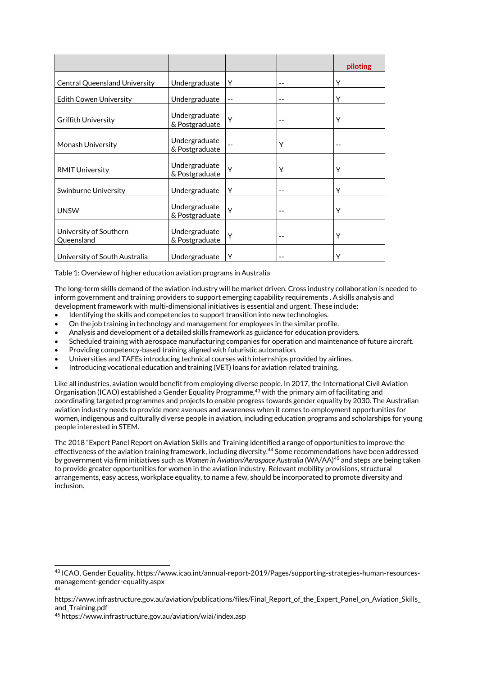|                                      |                                 |    |       | piloting |
|--------------------------------------|---------------------------------|----|-------|----------|
| <b>Central Queensland University</b> | Undergraduate                   | Υ  | --    | Υ        |
| <b>Edith Cowen University</b>        | Undergraduate                   | -- | $- -$ | Υ        |
| <b>Griffith University</b>           | Undergraduate<br>& Postgraduate | Y  |       | Υ        |
| Monash University                    | Undergraduate<br>& Postgraduate |    | Y     |          |
| <b>RMIT University</b>               | Undergraduate<br>& Postgraduate | Y  | Υ     | Υ        |
| Swinburne University                 | Undergraduate                   | Υ  | $- -$ | Υ        |
| <b>UNSW</b>                          | Undergraduate<br>& Postgraduate | Y  |       | Υ        |
| University of Southern<br>Queensland | Undergraduate<br>& Postgraduate | Y  | $-$   | Y        |
| University of South Australia        | Undergraduate                   | Υ  |       | ٧        |

Table 1: Overview of higher education aviation programs in Australia

The long-term skills demand of the aviation industry will be market driven. Cross industry collaboration is needed to inform government and training providers to support emerging capability requirements . A skills analysis and development framework with multi-dimensional initiatives is essential and urgent. These include:

- Identifying the skills and competencies to support transition into new technologies.
- On the job training in technology and management for employees in the similar profile.
- Analysis and development of a detailed skills framework as guidance for education providers.
- Scheduled training with aerospace manufacturing companies for operation and maintenance of future aircraft.
- Providing competency-based training aligned with futuristic automation.
- Universities and TAFEs introducing technical courses with internships provided by airlines.
- Introducing vocational education and training (VET) loans for aviation related training.

Like all industries, aviation would benefit from employing diverse people. In 2017, the International Civil Aviation Organisation (ICAO) established a Gender Equality Programme,<sup>43</sup> with the primary aim of facilitating and coordinating targeted programmes and projects to enable progress towards gender equality by 2030. The Australian aviation industry needs to provide more avenues and awareness when it comes to employment opportunities for women, indigenous and culturally diverse people in aviation, including education programs and scholarships for young people interested in STEM.

The 2018 "Expert Panel Report on Aviation Skills and Training identified a range of opportunities to improve the effectiveness of the aviation training framework, including diversity.<sup>44</sup> Some recommendations have been addressed by government via firm initiatives such as *Women in Aviation/Aerospace Australia* (WA/AA)<sup>45</sup> and steps are being taken to provide greater opportunities for women in the aviation industry. Relevant mobility provisions, structural arrangements, easy access, workplace equality, to name a few, should be incorporated to promote diversity and inclusion.

<sup>43</sup> ICAO, Gender Equality, https://www.icao.int/annual-report-2019/Pages/supporting-strategies-human-resourcesmanagement-gender-equality.aspx 44

https://www.infrastructure.gov.au/aviation/publications/files/Final\_Report\_of\_the\_Expert\_Panel\_on\_Aviation\_Skills\_ and\_Training.pdf

<sup>45</sup> https://www.infrastructure.gov.au/aviation/wiai/index.asp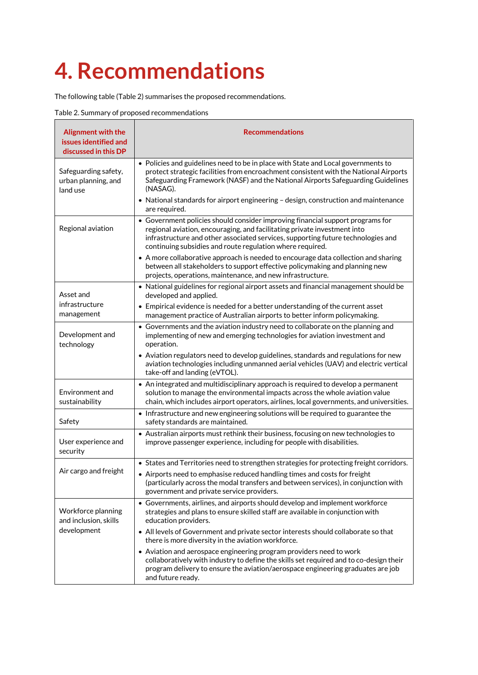# <span id="page-13-0"></span>**4. Recommendations**

The following table (Table 2) summarises the proposed recommendations.

Table 2. Summary of proposed recommendations

| Alignment with the<br>issues identified and<br>discussed in this DP | <b>Recommendations</b>                                                                                                                                                                                                                                                                                                                                          |
|---------------------------------------------------------------------|-----------------------------------------------------------------------------------------------------------------------------------------------------------------------------------------------------------------------------------------------------------------------------------------------------------------------------------------------------------------|
| Safeguarding safety,<br>urban planning, and<br>land use             | • Policies and guidelines need to be in place with State and Local governments to<br>protect strategic facilities from encroachment consistent with the National Airports<br>Safeguarding Framework (NASF) and the National Airports Safeguarding Guidelines<br>(NASAG).<br>• National standards for airport engineering - design, construction and maintenance |
|                                                                     | are required.                                                                                                                                                                                                                                                                                                                                                   |
| Regional aviation                                                   | • Government policies should consider improving financial support programs for<br>regional aviation, encouraging, and facilitating private investment into<br>infrastructure and other associated services, supporting future technologies and<br>continuing subsidies and route regulation where required.                                                     |
|                                                                     | • A more collaborative approach is needed to encourage data collection and sharing<br>between all stakeholders to support effective policymaking and planning new<br>projects, operations, maintenance, and new infrastructure.                                                                                                                                 |
| Asset and                                                           | • National guidelines for regional airport assets and financial management should be<br>developed and applied.                                                                                                                                                                                                                                                  |
| infrastructure<br>management                                        | • Empirical evidence is needed for a better understanding of the current asset<br>management practice of Australian airports to better inform policymaking.                                                                                                                                                                                                     |
| Development and<br>technology                                       | • Governments and the aviation industry need to collaborate on the planning and<br>implementing of new and emerging technologies for aviation investment and<br>operation.                                                                                                                                                                                      |
|                                                                     | • Aviation regulators need to develop guidelines, standards and regulations for new<br>aviation technologies including unmanned aerial vehicles (UAV) and electric vertical<br>take-off and landing (eVTOL).                                                                                                                                                    |
| Environment and<br>sustainability                                   | • An integrated and multidisciplinary approach is required to develop a permanent<br>solution to manage the environmental impacts across the whole aviation value<br>chain, which includes airport operators, airlines, local governments, and universities.                                                                                                    |
| Safety                                                              | . Infrastructure and new engineering solutions will be required to guarantee the<br>safety standards are maintained.                                                                                                                                                                                                                                            |
| User experience and<br>security                                     | • Australian airports must rethink their business, focusing on new technologies to<br>improve passenger experience, including for people with disabilities.                                                                                                                                                                                                     |
| Air cargo and freight                                               | • States and Territories need to strengthen strategies for protecting freight corridors.                                                                                                                                                                                                                                                                        |
|                                                                     | • Airports need to emphasise reduced handling times and costs for freight<br>(particularly across the modal transfers and between services), in conjunction with<br>government and private service providers.                                                                                                                                                   |
| Workforce planning<br>and inclusion, skills                         | • Governments, airlines, and airports should develop and implement workforce<br>strategies and plans to ensure skilled staff are available in conjunction with<br>education providers.                                                                                                                                                                          |
| development                                                         | • All levels of Government and private sector interests should collaborate so that<br>there is more diversity in the aviation workforce.                                                                                                                                                                                                                        |
|                                                                     | • Aviation and aerospace engineering program providers need to work<br>collaboratively with industry to define the skills set required and to co-design their<br>program delivery to ensure the aviation/aerospace engineering graduates are job<br>and future ready.                                                                                           |